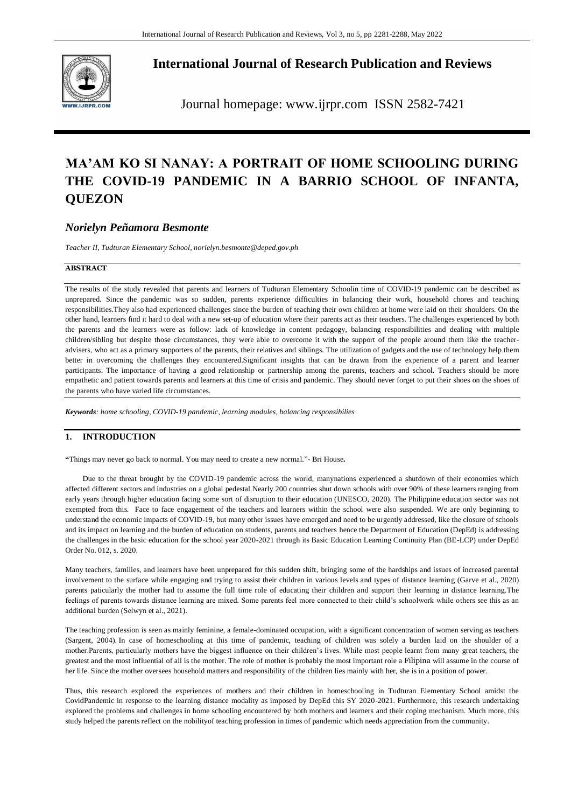

**International Journal of Research Publication and Reviews**

Journal homepage: www.ijrpr.com ISSN 2582-7421

# **MA'AM KO SI NANAY: A PORTRAIT OF HOME SCHOOLING DURING THE COVID-19 PANDEMIC IN A BARRIO SCHOOL OF INFANTA, QUEZON**

# *Norielyn Peñamora Besmonte*

*Teacher II, Tudturan Elementary School, norielyn.besmonte@deped.gov.ph*

### **ABSTRACT**

The results of the study revealed that parents and learners of Tudturan Elementary Schoolin time of COVID-19 pandemic can be described as unprepared. Since the pandemic was so sudden, parents experience difficulties in balancing their work, household chores and teaching responsibilities.They also had experienced challenges since the burden of teaching their own children at home were laid on their shoulders. On the other hand, learners find it hard to deal with a new set-up of education where their parents act as their teachers. The challenges experienced by both the parents and the learners were as follow: lack of knowledge in content pedagogy, balancing responsibilities and dealing with multiple children/sibling but despite those circumstances, they were able to overcome it with the support of the people around them like the teacheradvisers, who act as a primary supporters of the parents, their relatives and siblings. The utilization of gadgets and the use of technology help them better in overcoming the challenges they encountered.Significant insights that can be drawn from the experience of a parent and learner participants. The importance of having a good relationship or partnership among the parents, teachers and school. Teachers should be more empathetic and patient towards parents and learners at this time of crisis and pandemic. They should never forget to put their shoes on the shoes of the parents who have varied life circumstances.

*Keywords: home schooling, COVID-19 pandemic, learning modules, balancing responsibilies*

# **1. INTRODUCTION**

**"**Things may never go back to normal. You may need to create a new normal."- Bri House**.**

Due to the threat brought by the COVID-19 pandemic across the world, manynations experienced a shutdown of their economies which affected different sectors and industries on a global pedestal.Nearly 200 countries shut down schools with over 90% of these learners ranging from early years through higher education facing some sort of disruption to their education (UNESCO, 2020). The Philippine education sector was not exempted from this. Face to face engagement of the teachers and learners within the school were also suspended. We are only beginning to understand the economic impacts of COVID-19, but many other issues have emerged and need to be urgently addressed, like the closure of schools and its impact on learning and the burden of education on students, parents and teachers hence the Department of Education (DepEd) is addressing the challenges in the basic education for the school year 2020-2021 through its Basic Education Learning Continuity Plan (BE-LCP) under DepEd Order No. 012, s. 2020.

Many teachers, families, and learners have been unprepared for this sudden shift, bringing some of the hardships and issues of increased parental involvement to the surface while engaging and trying to assist their children in various levels and types of distance learning (Garve et al., 2020) parents paticularly the mother had to assume the full time role of educating their children and support their learning in distance learning.The feelings of parents towards distance learning are mixed. Some parents feel more connected to their child's schoolwork while others see this as an additional burden (Selwyn et al., 2021).

The teaching profession is seen as mainly feminine, a female-dominated occupation, with a significant concentration of women serving as teachers (Sargent, 2004). In case of homeschooling at this time of pandemic, teaching of children was solely a burden laid on the shoulder of a mother.Parents, particularly mothers have the biggest influence on their children's lives. While most people learnt from many great teachers, the greatest and the most influential of all is the mother. The role of mother is probably the most important role a Filipina will assume in the course of her life. Since the mother oversees household matters and responsibility of the children lies mainly with her, she is in a position of power.

Thus, this research explored the experiences of mothers and their children in homeschooling in Tudturan Elementary School amidst the CovidPandemic in response to the learning distance modality as imposed by DepEd this SY 2020-2021. Furthermore, this research undertaking explored the problems and challenges in home schooling encountered by both mothers and learners and their coping mechanism. Much more, this study helped the parents reflect on the nobilityof teaching profession in times of pandemic which needs appreciation from the community.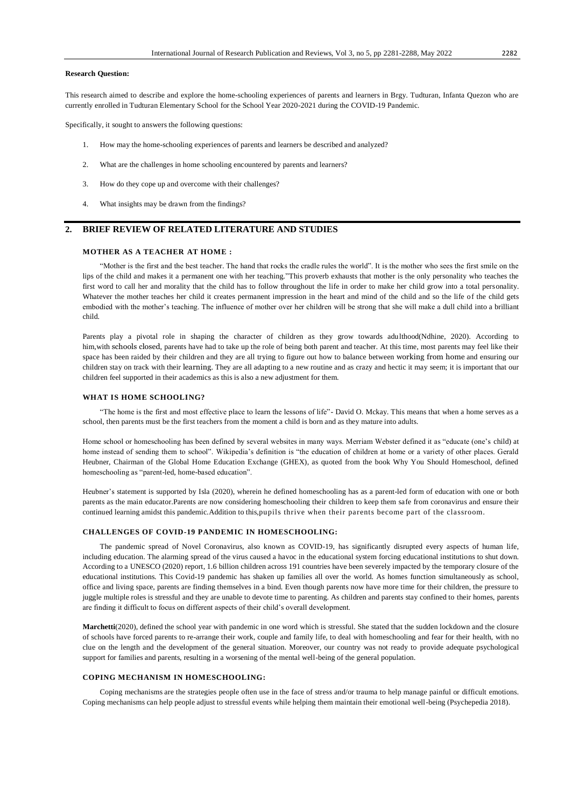#### **Research Question:**

This research aimed to describe and explore the home-schooling experiences of parents and learners in Brgy. Tudturan, Infanta Quezon who are currently enrolled in Tudturan Elementary School for the School Year 2020-2021 during the COVID-19 Pandemic.

Specifically, it sought to answers the following questions:

- 1. How may the home-schooling experiences of parents and learners be described and analyzed?
- 2. What are the challenges in home schooling encountered by parents and learners?
- 3. How do they cope up and overcome with their challenges?
- 4. What insights may be drawn from the findings?

# **2. BRIEF REVIEW OF RELATED LITERATURE AND STUDIES**

# **MOTHER AS A TEACHER AT HOME :**

"Mother is the first and the best teacher. The hand that rocks the cradle rules the world". It is the mother who sees the first smile on the lips of the child and makes it a permanent one with her teaching."This proverb exhausts that mother is the only personality who teaches the first word to call her and morality that the child has to follow throughout the life in order to make her child grow into a total personality. Whatever the mother teaches her child it creates permanent impression in the heart and mind of the child and so the life of the child gets embodied with the mother's teaching. The influence of mother over her children will be strong that she will make a dull child into a brilliant child.

Parents play a pivotal role in shaping the character of children as they grow towards adulthood(Ndhine, 2020). According to him,with [schools](https://www.novapioneer.com/kenya/blog/learning-must-continue/) closed, parents have had to take up the role of being both parent and teacher. At this time, most parents may feel like their space has been raided by their children and they are all trying to figure out how to balance between [working](https://www.novapioneer.com/kenya/blog/staying-home-every-day-is-a-pleasant-surprise/) from home and ensuring our children stay on track with their [learning](https://www.novapioneer.com/kenya/blog/impact-of-virtual-learning-on-my-students/). They are all adapting to a new routine and as crazy and hectic it may seem; it is important that our children feel supported in their academics as this is also a new adjustment for them.

#### **WHAT IS HOME SCHOOLING?**

"The home is the first and most effective place to learn the lessons of life"- David O. Mckay. This means that when a home serves as a school, then parents must be the first teachers from the moment a child is born and as they mature into adults.

Home school or homeschooling has been defined by several websites in many ways. Merriam Webster defined it as "educate (one's child) at home instead of sending them to school". Wikipedia's definition is "the education of children at home or a variety of other places. Gerald Heubner, Chairman of the Global Home Education Exchange (GHEX), as quoted from the book Why You Should Homeschool, defined homeschooling as "parent-led, home-based education".

Heubner's statement is supported by Isla (2020), wherein he defined homeschooling has as a parent-led form of education with one or both parents as the main educator.Parents are now considering homeschooling their children to keep them safe from coronavirus and ensure their continued learning amidst this pandemic.Addition to this,pupils thrive when their parents become part of the classroom.

#### **CHALLENGES OF COVID-19 PANDEMIC IN HOMESCHOOLING:**

The pandemic spread of Novel Coronavirus, also known as COVID-19, has significantly disrupted every aspects of human life, including education. The alarming spread of the virus caused a havoc in the educational system forcing educational institutions to shut down. According to a UNESCO (2020) report, 1.6 billion children across 191 countries have been severely impacted by the temporary closure of the educational institutions. This Covid-19 pandemic has shaken up families all over the world. As homes function simultaneously as school, office and living space, parents are finding themselves in a bind. Even though parents now have more time for their children, the pressure to juggle multiple roles is stressful and they are unable to devote time to parenting. As children and parents stay confined to their homes, parents are finding it difficult to focus on different aspects of their child's overall development.

**Marchetti**(2020), defined the school year with pandemic in one word which is [stressful.](https://www.psychologytoday.com/us/basics/stress) She stated that the sudden lockdown and the closure of schools have forced parents to re-arrange their work, couple and family life, to deal with homeschooling and [fear](https://www.psychologytoday.com/us/basics/fear) for their health, with no clue on the length and the development of the general situation. Moreover, our country was not ready to provide adequate psychological support for families and parents, resulting in a worsening of the mental well-being of the general population.

### **COPING MECHANISM IN HOMESCHOOLING:**

Coping mechanisms are the strategies people often use in the face of stress and/or trauma to help manage painful or difficult emotions. Coping mechanisms can help people adjust to stressful events while helping them maintain their emotional well-being (Psychepedia 2018).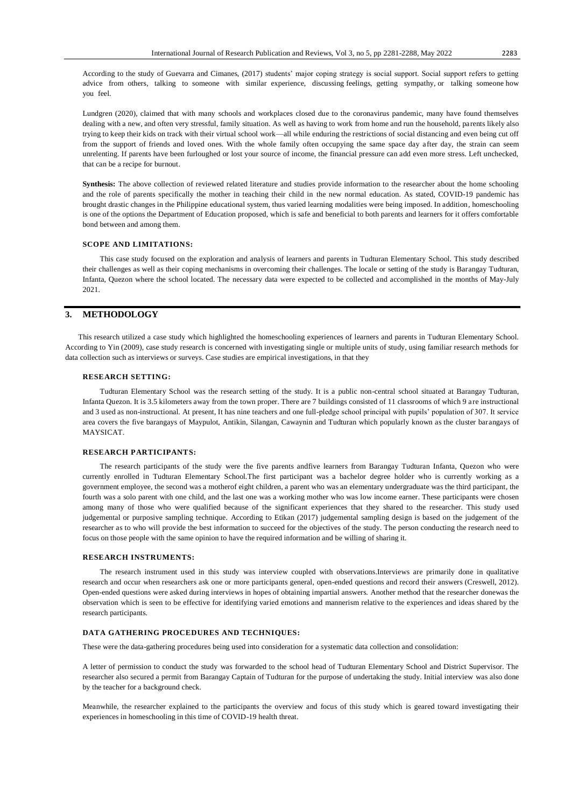According to the study of Guevarra and Cimanes, (2017) students' major coping strategy is social support. Social support refers to getting advice from others, talking to someone with similar experience, discussing feelings, getting sympathy, or talking someone how you feel.

Lundgren (2020), claimed that with many schools and workplaces closed due to the coronavirus pandemic, many have found themselves dealing with a new, and often very stressful, family situation. As well as having to work from home and run the household, parents likely also trying to keep their kids on track with their virtual school work—all while enduring the restrictions of social distancing and even being cut off from the support of friends and loved ones. With the whole family often occupying the same space day after day, the strain can seem unrelenting. If parents have been furloughed or lost your source of income, the financial pressure can add even more stress. Left unchecked, that can be a recipe for [burnout.](https://www.helpguide.org/articles/stress/burnout-prevention-and-recovery.htm)

**Synthesis:** The above collection of reviewed related literature and studies provide information to the researcher about the home schooling and the role of parents specifically the mother in teaching their child in the new normal education. As stated, COVID-19 pandemic has brought drastic changes in the Philippine educational system, thus varied learning modalities were being imposed. In addition, homeschooling is one of the options the Department of Education proposed, which is safe and beneficial to both parents and learners for it offers comfortable bond between and among them.

#### **SCOPE AND LIMITATIONS:**

This case study focused on the exploration and analysis of learners and parents in Tudturan Elementary School. This study described their challenges as well as their coping mechanisms in overcoming their challenges. The locale or setting of the study is Barangay Tudturan, Infanta, Quezon where the school located. The necessary data were expected to be collected and accomplished in the months of May-July 2021.

# **3. METHODOLOGY**

This research utilized a case study which highlighted the homeschooling experiences of learners and parents in Tudturan Elementary School. According to Yin (2009), case study research is concerned with investigating single or multiple units of study, using familiar research methods for data collection such as interviews or surveys. Case studies are empirical investigations, in that they

#### **RESEARCH SETTING:**

Tudturan Elementary School was the research setting of the study. It is a public non-central school situated at Barangay Tudturan, Infanta Quezon. It is 3.5 kilometers away from the town proper. There are 7 buildings consisted of 11 classrooms of which 9 are instructional and 3 used as non-instructional. At present, It has nine teachers and one full-pledge school principal with pupils' population of 307. It service area covers the five barangays of Maypulot, Antikin, Silangan, Cawaynin and Tudturan which popularly known as the cluster barangays of MAYSICAT.

#### **RESEARCH PARTICIPANTS:**

The research participants of the study were the five parents andfive learners from Barangay Tudturan Infanta, Quezon who were currently enrolled in Tudturan Elementary School.The first participant was a bachelor degree holder who is currently working as a government employee, the second was a motherof eight children, a parent who was an elementary undergraduate was the third participant, the fourth was a solo parent with one child, and the last one was a working mother who was low income earner. These participants were chosen among many of those who were qualified because of the significant experiences that they shared to the researcher. This study used judgemental or purposive sampling technique. According to Etikan (2017) judgemental sampling design is based on the judgement of the researcher as to who will provide the best information to succeed for the objectives of the study. The person conducting the research need to focus on those people with the same opinion to have the required information and be willing of sharing it.

#### **RESEARCH INSTRUMENTS:**

The research instrument used in this study was interview coupled with observations.Interviews are primarily done in qualitative research and occur when researchers ask one or more participants general, open-ended questions and record their answers (Creswell, 2012). Open-ended questions were asked during interviews in hopes of obtaining impartial answers. Another method that the researcher donewas the observation which is seen to be effective for identifying varied emotions and mannerism relative to the experiences and ideas shared by the research participants.

#### **DATA GATHERING PROCEDURES AND TECHNIQUES:**

These were the data-gathering procedures being used into consideration for a systematic data collection and consolidation:

A letter of permission to conduct the study was forwarded to the school head of Tudturan Elementary School and District Supervisor. The researcher also secured a permit from Barangay Captain of Tudturan for the purpose of undertaking the study. Initial interview was also done by the teacher for a background check.

Meanwhile, the researcher explained to the participants the overview and focus of this study which is geared toward investigating their experiences in homeschooling in this time of COVID-19 health threat.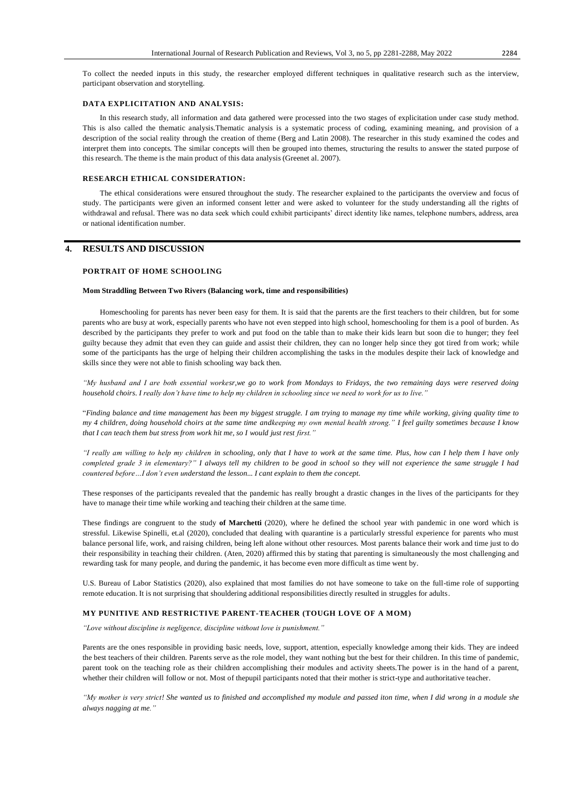To collect the needed inputs in this study, the researcher employed different techniques in qualitative research such as the interview, participant observation and storytelling.

#### **DATA EXPLICITATION AND ANALYSIS:**

In this research study, all information and data gathered were processed into the two stages of explicitation under case study method. This is also called the thematic analysis.Thematic analysis is a systematic process of coding, examining meaning, and provision of a description of the social reality through the creation of theme (Berg and Latin 2008). The researcher in this study examined the codes and interpret them into concepts. The similar concepts will then be grouped into themes, structuring the results to answer the stated purpose of this research. The theme is the main product of this data analysis (Greenet al. 2007).

#### **RESEARCH ETHICAL CONSIDERATION:**

The ethical considerations were ensured throughout the study. The researcher explained to the participants the overview and focus of study. The participants were given an informed consent letter and were asked to volunteer for the study understanding all the rights of withdrawal and refusal. There was no data seek which could exhibit participants' direct identity like names, telephone numbers, address, area or national identification number.

# **4. RESULTS AND DISCUSSION**

# **PORTRAIT OF HOME SCHOOLING**

#### **Mom Straddling Between Two Rivers (Balancing work, time and responsibilities)**

Homeschooling for parents has never been easy for them. It is said that the parents are the first teachers to their children, but for some parents who are busy at work, especially parents who have not even stepped into high school, homeschooling for them is a pool of burden. As described by the participants they prefer to work and put food on the table than to make their kids learn but soon die to hunger; they feel guilty because they admit that even they can guide and assist their children, they can no longer help since they got tired from work; while some of the participants has the urge of helping their children accomplishing the tasks in the modules despite their lack of knowledge and skills since they were not able to finish schooling way back then.

*"My husband and I are both essential workesr,we go to work from Mondays to Fridays, the two remaining days were reserved doing household choirs. I really don't have time to help my children in schooling since we need to work for us to live."*

"*Finding balance and time management has been my biggest struggle. I am trying to manage my time while working, giving quality time to my 4 children, doing household choirs at the same time andkeeping my own mental health strong." I feel guilty sometimes because I know that I can teach them but stress from work hit me, so I would just rest first."* 

*"I really am willing to help my children in schooling, only that I have to work at the same time. Plus, how can I help them I have only completed grade 3 in elementary?" I always tell my children to be good in school so they will not experience the same struggle I had countered before…I don't even understand the lesson... I cant explain to them the concept.*

These responses of the participants revealed that the pandemic has really brought a drastic changes in the lives of the participants for they have to manage their time while working and teaching their children at the same time.

These findings are congruent to the study **of Marchetti** (2020), where he defined the school year with pandemic in one word which is [stressful.](https://www.psychologytoday.com/us/basics/stress) Likewise Spinelli, et.al (2020), concluded that dealing with quarantine is a particularly stressful experience for parents who must balance personal life, work, and raising children, being left alone without other resources. Most parents balance their work and time just to do their responsibility in teaching their children. (Aten, 2020) affirmed this by stating that parenting is simultaneously the most challenging and rewarding task for many people, and during the pandemic, it has become even more difficult as time went by.

U.S. Bureau of Labor Statistics (2020), also explained that most families do not have someone to take on the full-time role of supporting remote education. It is not surprising that shouldering additional responsibilities directly resulted in struggles for adults.

#### **MY PUNITIVE AND RESTRICTIVE PARENT-TEACHER (TOUGH LOVE OF A MOM)**

*"Love without discipline is negligence, discipline without love is punishment."*

Parents are the ones responsible in providing basic needs, love, support, attention, especially knowledge among their kids. They are indeed the best teachers of their children. Parents serve as the role model, they want nothing but the best for their children. In this time of pandemic, parent took on the teaching role as their children accomplishing their modules and activity sheets.The power is in the hand of a parent, whether their children will follow or not. Most of thepupil participants noted that their mother is strict-type and authoritative teacher.

*"My mother is very strict! She wanted us to finished and accomplished my module and passed iton time, when I did wrong in a module she always nagging at me."*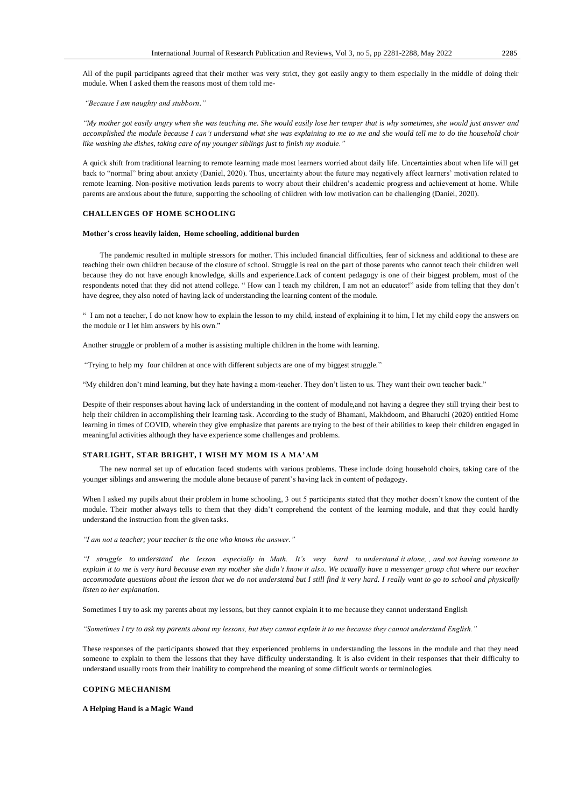All of the pupil participants agreed that their mother was very strict, they got easily angry to them especially in the middle of doing their module. When I asked them the reasons most of them told me-

*"Because I am naughty and stubborn."*

*"My mother got easily angry when she was teaching me. She would easily lose her temper that is why sometimes, she would just answer and accomplished the module because I can't understand what she was explaining to me to me and she would tell me to do the household choir like washing the dishes, taking care of my younger siblings just to finish my module."*

A quick shift from traditional learning to remote learning made most learners worried about daily life. Uncertainties about when life will get back to "normal" bring about anxiety (Daniel, 2020). Thus, uncertainty about the future may negatively affect learners' motivation related to remote learning. Non-positive motivation leads parents to worry about their children's academic progress and achievement at home. While parents are anxious about the future, supporting the schooling of children with low motivation can be challenging (Daniel, 2020).

#### **CHALLENGES OF HOME SCHOOLING**

#### **Mother's cross heavily laiden, Home schooling, additional burden**

The pandemic resulted in multiple stressors for mother. This included financial difficulties, fear of sickness and additional to these are teaching their own children because of the closure of school. Struggle is real on the part of those parents who cannot teach their children well because they do not have enough knowledge, skills and experience.Lack of content pedagogy is one of their biggest problem, most of the respondents noted that they did not attend college. " How can I teach my children, I am not an educator!" aside from telling that they don't have degree, they also noted of having lack of understanding the learning content of the module.

" I am not a teacher, I do not know how to explain the lesson to my child, instead of explaining it to him, I let my child copy the answers on the module or I let him answers by his own."

Another struggle or problem of a mother is assisting multiple children in the home with learning.

"Trying to help my four children at once with different subjects are one of my biggest struggle."

"My children don't mind learning, but they hate having a mom-teacher. They don't listen to us. They want their own teacher back."

Despite of their responses about having lack of understanding in the content of module,and not having a degree they still trying their best to help their children in accomplishing their learning task. According to the study of Bhamani, Makhdoom, and Bharuchi (2020) entitled Home learning in times of COVID, wherein they give emphasize that parents are trying to the best of their abilities to keep their children engaged in meaningful activities although they have experience some challenges and problems.

#### **STARLIGHT, STAR BRIGHT, I WISH MY MOM IS A MA'AM**

The new normal set up of education faced students with various problems. These include doing household choirs, taking care of the younger siblings and answering the module alone because of parent's having lack in content of pedagogy.

When I asked my pupils about their problem in home schooling, 3 out 5 participants stated that they mother doesn't know the content of the module. Their mother always tells to them that they didn't comprehend the content of the learning module, and that they could hardly understand the instruction from the given tasks.

*"I am not a teacher; your teacher is the one who knows the answer."*

*"I struggle to understand the lesson especially in Math. It's very hard to understand it alone, , and not having someone to explain it to me is very hard because even my mother she didn't know it also. We actually have a messenger group chat where our teacher accommodate questions about the lesson that we do not understand but I still find it very hard. I really want to go to school and physically listen to her explanation.*

Sometimes I try to ask my parents about my lessons, but they cannot explain it to me because they cannot understand English

*"Sometimes I try to ask my parents about my lessons, but they cannot explain it to me because they cannot understand English."*

These responses of the participants showed that they experienced problems in understanding the lessons in the module and that they need someone to explain to them the lessons that they have difficulty understanding. It is also evident in their responses that their difficulty to understand usually roots from their inability to comprehend the meaning of some difficult words or terminologies.

#### **COPING MECHANISM**

**A Helping Hand is a Magic Wand**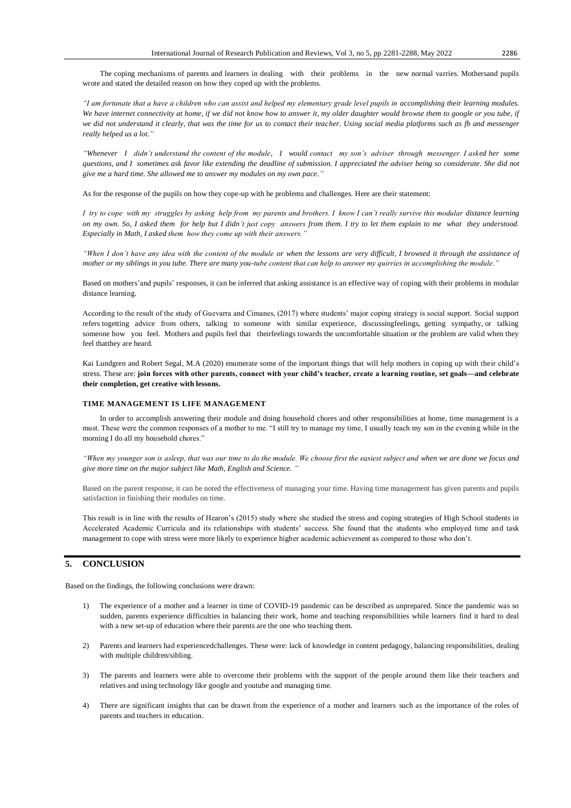The coping mechanisms of parents and learners in dealing with their problems in the new normal varries. Mothersand pupils wrote and stated the detailed reason on how they coped up with the problems.

*"I am fortunate that a have a children who can assist and helped my elementary grade level pupils in accomplishing their learning modules. We have internet connectivity at home, if we did not know how to answer it, my older daughter would browse them to google or you tube, if we did not understand it clearly, that was the time for us to contact their teacher. Using social media platforms such as fb and messenger really helped us a lot."*

*"Whenever I didn't understand the content of the module, I would contact my son's adviser through messenger. I asked her some questions, and I sometimes ask favor like extending the deadline of submission. I appreciated the adviser being so considerate. She did not give me a hard time. She allowed me to answer my modules on my own pace."*

As for the response of the pupils on how they cope-up with he problems and challenges. Here are their statement:

*I try to cope with my struggles by asking help from my parents and brothers. I know I can't really survive this modular distance learning on my own. So, I asked them for help but I didn't just copy answers from them. I try to let them explain to me what they understood. Especially in Math, I asked them how they come up with their answers."*

*"When I don't have any idea with the content of the module or when the lessons are very difficult, I browsed it through the assistance of mother or my siblings in you tube. There are many you-tube content that can help to answer my quirries in accomplishing the module."*

Based on mothers'and pupils' responses, it can be inferred that asking assistance is an effective way of coping with their problems in modular distance learning.

According to the result of the study of Guevarra and Cimanes, (2017) where students' major coping strategy is social support. Social support refers togetting advice from others, talking to someone with similar experience, discussingfeelings, getting sympathy, or talking someone how you feel. Mothers and pupils feel that theirfeelings towards the uncomfortable situation or the problem are valid when they feel thatthey are heard.

Kai Lundgren and Robert Segal, M.A (2020) enumerate some of the important things that will help mothers in coping up with their child's stress. These are: **join forces with other parents, connect with your child's teacher, create a learning routine, set goals—and celebrate their completion, get creative with lessons.**

### **TIME MANAGEMENT IS LIFE MANAGEMENT**

In order to accomplish answering their module and doing household chores and other responsibilities at home, time management is a must. These were the common responses of a mother to me. "I still try to manage my time, I usually teach my son in the evening while in the morning I do all my household chores."

*"When my younger son is asleep, that was our time to do the module. We choose first the easiest subject and when we are done we focus and give more time on the major subject like Math, English and Science. "*

Based on the parent response, it can be noted the effectiveness of managing your time. Having time management has given parents and pupils satisfaction in finishing their modules on time.

This result is in line with the results of Hearon's (2015) study where she studied the stress and coping strategies of High School students in Accelerated Academic Curricula and its relationships with students' success. She found that the students who employed time and task management to cope with stress were more likely to experience higher academic achievement as compared to those who don't.

# **5. CONCLUSION**

Based on the findings, the following conclusions were drawn:

- 1) The experience of a mother and a learner in time of COVID-19 pandemic can be described as unprepared. Since the pandemic was so sudden, parents experience difficulties in balancing their work, home and teaching responsibilities while learners find it hard to deal with a new set-up of education where their parents are the one who teaching them.
- 2) Parents and learners had experiencedchallenges. These were: lack of knowledge in content pedagogy, balancing responsibilities, dealing with multiple children/sibling.
- The parents and learners were able to overcome their problems with the support of the people around them like their teachers and relatives and using technology like google and youtube and managing time.
- 4) There are significant insights that can be drawn from the experience of a mother and learners such as the importance of the roles of parents and teachers in education.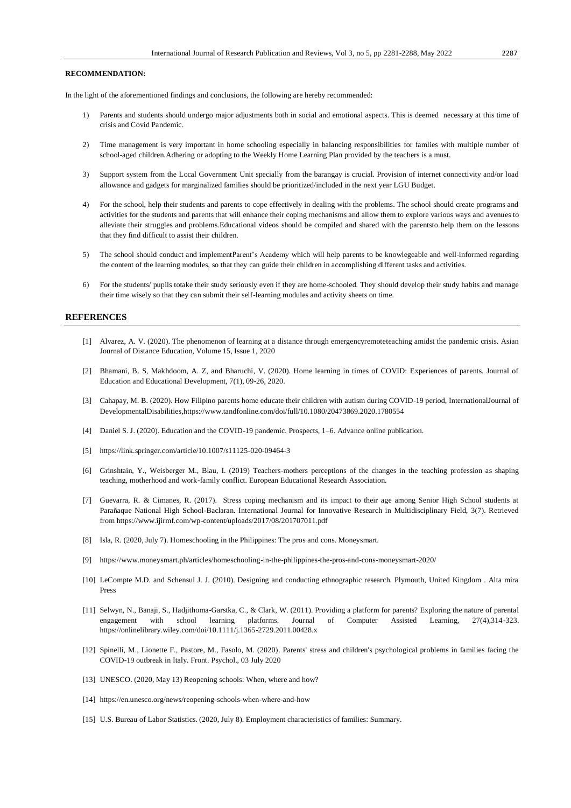# **RECOMMENDATION:**

In the light of the aforementioned findings and conclusions, the following are hereby recommended:

- 1) Parents and students should undergo major adjustments both in social and emotional aspects. This is deemed necessary at this time of crisis and Covid Pandemic.
- 2) Time management is very important in home schooling especially in balancing responsibilities for famlies with multiple number of school-aged children.Adhering or adopting to the Weekly Home Learning Plan provided by the teachers is a must.
- 3) Support system from the Local Government Unit specially from the barangay is crucial. Provision of internet connectivity and/or load allowance and gadgets for marginalized families should be prioritized/included in the next year LGU Budget.
- 4) For the school, help their students and parents to cope effectively in dealing with the problems. The school should create programs and activities for the students and parents that will enhance their coping mechanisms and allow them to explore various ways and avenues to alleviate their struggles and problems.Educational videos should be compiled and shared with the parentsto help them on the lessons that they find difficult to assist their children.
- 5) The school should conduct and implementParent's Academy which will help parents to be knowlegeable and well-informed regarding the content of the learning modules, so that they can guide their children in accomplishing different tasks and activities.
- 6) For the students/ pupils totake their study seriously even if they are home-schooled. They should develop their study habits and manage their time wisely so that they can submit their self-learning modules and activity sheets on time.

#### **REFERENCES**

- [1] Alvarez, A. V. (2020). The phenomenon of learning at a distance through emergencyremoteteaching amidst the pandemic crisis. Asian Journal of Distance Education, Volume 15, Issue 1, 2020
- [2] Bhamani, B. S, Makhdoom, A. Z, and Bharuchi, V. (2020). Home learning in times of COVID: Experiences of parents. Journal of Education and Educational Development, 7(1), 09-26, 2020.
- [3] Cahapay, M. B. (2020). How Filipino parents home educate their children with autism during COVID-19 period, InternationalJournal of DevelopmentalDisabilities,https://www.tandfonline.com/doi/full/10.1080/20473869.2020.1780554
- [4] Daniel S. J. (2020). Education and the COVID-19 pandemic. Prospects, 1–6. Advance online publication.
- [5] https://link.springer.com/article/10.1007/s11125-020-09464-3
- [6] Grinshtain, Y., Weisberger M., Blau, I. (2019) Teachers-mothers perceptions of the changes in the teaching profession as shaping teaching, motherhood and work-family conflict. European Educational Research Association.
- [7] Guevarra, R. & Cimanes, R. (2017). Stress coping mechanism and its impact to their age among Senior High School students at Parañaque National High School-Baclaran. International Journal for Innovative Research in Multidisciplinary Field, 3(7). Retrieved from https://www.ijirmf.com/wp-content/uploads/2017/08/201707011.pdf
- [8] Isla, R. (2020, July 7). Homeschooling in the Philippines: The pros and cons. Moneysmart.
- [9] <https://www.moneysmart.ph/articles/homeschooling-in-the-philippines-the-pros-and-cons-moneysmart-2020/>
- [10] LeCompte M.D. and Schensul J. J. (2010). Designing and conducting ethnographic research. Plymouth, United Kingdom . Alta mira Press
- [11] Selwyn, N., Banaji, S., Hadjithoma‐Garstka, C., & Clark, W. (2011). Providing a platform for parents? Exploring the nature of parental engagement with school learning platforms. Journal of Computer Assisted Learning, 27(4),314-323. https://onlinelibrary.wiley.com/doi/10.1111/j.1365-2729.2011.00428.x
- [12] Spinelli, M., Lionette F., Pastore, M., Fasolo, M. (2020). Parents' stress and children's psychological problems in families facing the COVID-19 outbreak in Italy. Front. Psychol., 03 July 2020
- [13] UNESCO. (2020, May 13) Reopening schools: When, where and how?
- [14] <https://en.unesco.org/news/reopening-schools-when-where-and-how>
- [15] U.S. Bureau of Labor Statistics. (2020, July 8). Employment characteristics of families: Summary.